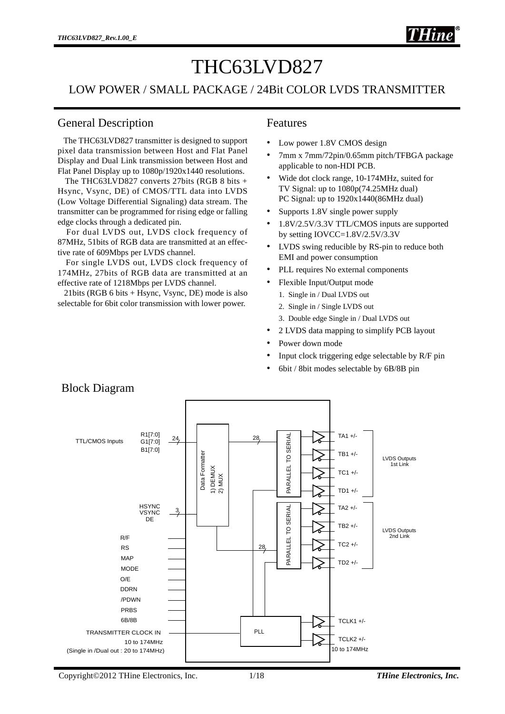# THC63LVD827

#### LOW POWER / SMALL PACKAGE / 24Bit COLOR LVDS TRANSMITTER

#### General Description

 The THC63LVD827 transmitter is designed to support pixel data transmission between Host and Flat Panel Display and Dual Link transmission between Host and Flat Panel Display up to 1080p/1920x1440 resolutions.

 The THC63LVD827 converts 27bits (RGB 8 bits + Hsync, Vsync, DE) of CMOS/TTL data into LVDS (Low Voltage Differential Signaling) data stream. The transmitter can be programmed for rising edge or falling edge clocks through a dedicated pin.

 For dual LVDS out, LVDS clock frequency of 87MHz, 51bits of RGB data are transmitted at an effective rate of 609Mbps per LVDS channel.

 For single LVDS out, LVDS clock frequency of 174MHz, 27bits of RGB data are transmitted at an effective rate of 1218Mbps per LVDS channel.

 21bits (RGB 6 bits + Hsync, Vsync, DE) mode is also selectable for 6bit color transmission with lower power.

#### Features

- Low power 1.8V CMOS design
- 7mm x 7mm/72pin/0.65mm pitch/TFBGA package applicable to non-HDI PCB.
- Wide dot clock range, 10-174MHz, suited for TV Signal: up to 1080p(74.25MHz dual) PC Signal: up to  $1920x1440(86MHz$  dual)
- Supports 1.8V single power supply
- 1.8V/2.5V/3.3V TTL/CMOS inputs are supported by setting IOVCC=1.8V/2.5V/3.3V
- LVDS swing reducible by RS-pin to reduce both EMI and power consumption
- PLL requires No external components
- Flexible Input/Output mode
	- 1. Single in / Dual LVDS out
	- 2. Single in / Single LVDS out
	- 3. Double edge Single in / Dual LVDS out
- 2 LVDS data mapping to simplify PCB layout
- Power down mode
- Input clock triggering edge selectable by R/F pin
- 6bit / 8bit modes selectable by 6B/8B pin



Block Diagram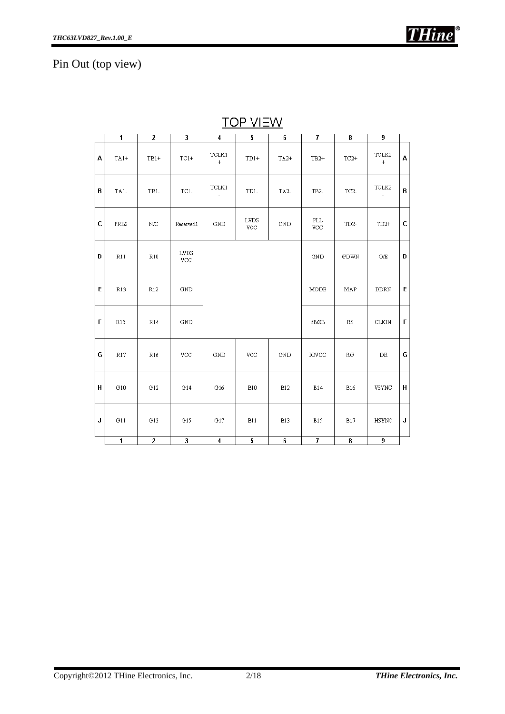# Pin Out (top view)

|   | $\overline{1}$          | $\overline{2}$   | $\overline{\mathbf{3}}$ | $\overline{4}$                          | 5                  | 6               |                   | 8                       | $\overline{9}$     |   |  |  |
|---|-------------------------|------------------|-------------------------|-----------------------------------------|--------------------|-----------------|-------------------|-------------------------|--------------------|---|--|--|
| А | $TA1+$                  | $TB1+$           | $TC1+$                  | $\ensuremath{\mathsf{TCLK1}}$<br>$^{+}$ | $TD1+$             | $TA2+$          | $TB2+$            | $TC2+$                  | TCLK2<br>$\ddot{}$ | A |  |  |
| В | TA1-                    | TB1-             | $TC1-$                  | TCLK1                                   | TD1-               | TA <sub>2</sub> | TB <sub>2</sub>   | TC <sub>2</sub>         | TCLK2              | B |  |  |
| C | PRBS                    | $_{\mathrm{NC}}$ | Reserved1               | GND                                     | <b>LVDS</b><br>VCC | GND             | <b>PLL</b><br>VCC | TD <sub>2</sub>         | $TD2+$             | C |  |  |
| D | R11                     | R10              | LVDS<br>VCC             |                                         |                    |                 | GND               | <b>PDWN</b>             | OÆ                 | D |  |  |
| E | R13                     | R12              | GND                     |                                         |                    |                 | MODE              | MAP                     | <b>DDRN</b>        | E |  |  |
| F | R15                     | R14              | GND                     |                                         |                    |                 | 6B/8B             | $\mathbb{R}\mathbb{S}$  | CLKIN              | F |  |  |
| G | R17                     | R16              | VCC                     | $_{\rm GND}$                            | $\rm{VCC}$         | GND             | <b>IOVCC</b>      | $\mathbb{R} \times$     | $\rm DE$           | G |  |  |
| н | G10                     | G12              | G14                     | G16                                     | <b>B10</b>         | <b>B12</b>      | <b>B14</b>        | B16                     | VSYNC              | н |  |  |
| J | G11                     | G13              | G15                     | G17                                     | B11                | <b>B13</b>      | <b>B15</b>        | <b>B17</b>              | HSYNC              | J |  |  |
|   | $\overline{\mathbf{1}}$ | $\overline{2}$   | $\overline{\mathbf{3}}$ | $\overline{4}$                          | $\overline{5}$     | $\overline{6}$  | 7                 | $\overline{\mathbf{8}}$ | 9                  |   |  |  |

**TOP VIEW**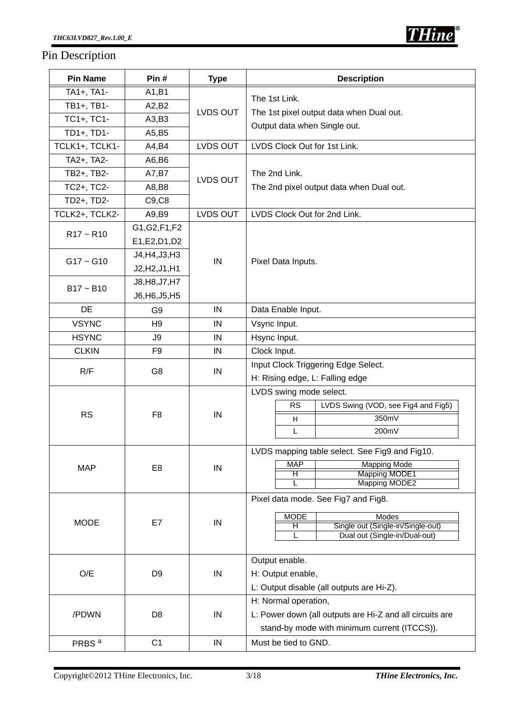### Pin Description

| <b>Pin Name</b>   | Pin#           | <b>Type</b> | <b>Description</b>                                                           |  |  |  |  |
|-------------------|----------------|-------------|------------------------------------------------------------------------------|--|--|--|--|
| TA1+, TA1-        | A1,B1          |             | The 1st Link.                                                                |  |  |  |  |
| TB1+, TB1-        | A2,B2          | LVDS OUT    |                                                                              |  |  |  |  |
| TC1+, TC1-        | A3,B3          |             | The 1st pixel output data when Dual out.<br>Output data when Single out.     |  |  |  |  |
| TD1+, TD1-        | A5,B5          |             |                                                                              |  |  |  |  |
| TCLK1+, TCLK1-    | A4,B4          | LVDS OUT    | LVDS Clock Out for 1st Link.                                                 |  |  |  |  |
| TA2+, TA2-        | A6,B6          |             |                                                                              |  |  |  |  |
| TB2+, TB2-        | A7, B7         | LVDS OUT    | The 2nd Link.                                                                |  |  |  |  |
| TC2+, TC2-        | A8,B8          |             | The 2nd pixel output data when Dual out.                                     |  |  |  |  |
| TD2+, TD2-        | C9, C8         |             |                                                                              |  |  |  |  |
| TCLK2+, TCLK2-    | A9,B9          | LVDS OUT    | LVDS Clock Out for 2nd Link.                                                 |  |  |  |  |
| $R17 - R10$       | G1, G2, F1, F2 |             |                                                                              |  |  |  |  |
|                   | E1, E2, D1, D2 |             |                                                                              |  |  |  |  |
| $G17 - G10$       | J4, H4, J3, H3 | IN          | Pixel Data Inputs.                                                           |  |  |  |  |
|                   | J2, H2, J1, H1 |             |                                                                              |  |  |  |  |
| $B17 - B10$       | J8, H8, J7, H7 |             |                                                                              |  |  |  |  |
|                   | J6, H6, J5, H5 |             |                                                                              |  |  |  |  |
| <b>DE</b>         | G9             | IN          | Data Enable Input.                                                           |  |  |  |  |
| <b>VSYNC</b>      | H <sub>9</sub> | IN          | Vsync Input.                                                                 |  |  |  |  |
| <b>HSYNC</b>      | J9             | IN          | Hsync Input.                                                                 |  |  |  |  |
| <b>CLKIN</b>      | F <sub>9</sub> | IN          | Clock Input.                                                                 |  |  |  |  |
| R/F               | G8             | IN          | Input Clock Triggering Edge Select.                                          |  |  |  |  |
|                   |                |             | H: Rising edge, L: Falling edge                                              |  |  |  |  |
|                   |                |             | LVDS swing mode select.                                                      |  |  |  |  |
| <b>RS</b>         | F <sub>8</sub> |             | <b>RS</b><br>LVDS Swing (VOD, see Fig4 and Fig5)                             |  |  |  |  |
|                   |                | IN          | 350mV<br>H                                                                   |  |  |  |  |
|                   |                |             | 200mV<br>L                                                                   |  |  |  |  |
|                   |                |             | LVDS mapping table select. See Fig9 and Fig10.                               |  |  |  |  |
| <b>MAP</b>        | E <sub>8</sub> | $\sf IN$    | <b>MAP</b><br><b>Mapping Mode</b>                                            |  |  |  |  |
|                   |                |             | <b>Mapping MODE1</b><br>H.<br><b>Mapping MODE2</b>                           |  |  |  |  |
|                   |                |             |                                                                              |  |  |  |  |
|                   |                |             | Pixel data mode. See Fig7 and Fig8.                                          |  |  |  |  |
| <b>MODE</b>       | E7             | IN          | <b>MODE</b><br>Modes                                                         |  |  |  |  |
|                   |                |             | Single out (Single-in/Single-out)<br>Η<br>Dual out (Single-in/Dual-out)<br>L |  |  |  |  |
|                   |                |             |                                                                              |  |  |  |  |
|                   |                |             | Output enable.                                                               |  |  |  |  |
| O/E               | D <sub>9</sub> | IN          | H: Output enable,                                                            |  |  |  |  |
|                   |                |             | L: Output disable (all outputs are Hi-Z).                                    |  |  |  |  |
|                   |                |             | H: Normal operation,                                                         |  |  |  |  |
| /PDWN             | D <sub>8</sub> | IN          | L: Power down (all outputs are Hi-Z and all circuits are                     |  |  |  |  |
|                   |                |             | stand-by mode with minimum current (ITCCS)).                                 |  |  |  |  |
| PRBS <sup>a</sup> | C <sub>1</sub> | IN          | Must be tied to GND.                                                         |  |  |  |  |

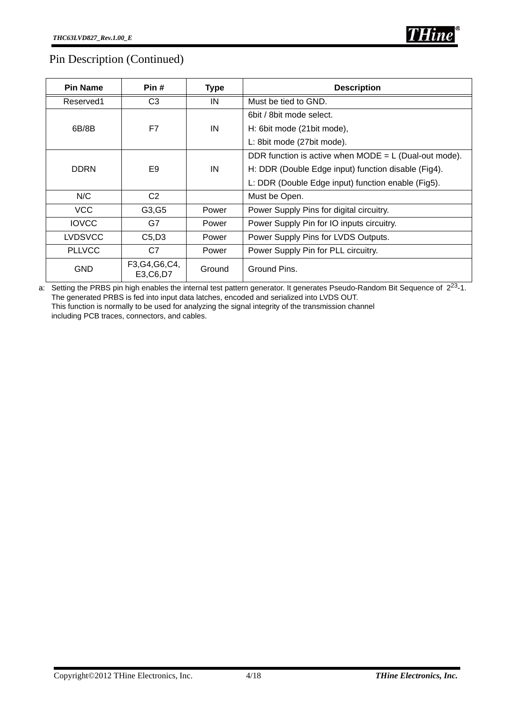### Pin Description (Continued)

| <b>Pin Name</b>   | Pin#                          | <b>Type</b> | <b>Description</b>                                      |
|-------------------|-------------------------------|-------------|---------------------------------------------------------|
| Reserved1         | C <sub>3</sub>                | IN          | Must be tied to GND.                                    |
|                   |                               |             | 6bit / 8bit mode select.                                |
| 6B/8B             | F7                            | IN          | H: 6bit mode (21bit mode),                              |
|                   |                               |             | L: 8bit mode (27bit mode).                              |
|                   |                               |             | DDR function is active when $MODE = L$ (Dual-out mode). |
| <b>DDRN</b><br>E9 |                               | IN          | H: DDR (Double Edge input) function disable (Fig4).     |
|                   |                               |             | L: DDR (Double Edge input) function enable (Fig5).      |
| N/C               | C <sub>2</sub>                |             | Must be Open.                                           |
| <b>VCC</b>        | G3, G5                        | Power       | Power Supply Pins for digital circuitry.                |
| <b>IOVCC</b>      | G7                            | Power       | Power Supply Pin for IO inputs circuitry.               |
| <b>LVDSVCC</b>    | C5, D3                        | Power       | Power Supply Pins for LVDS Outputs.                     |
| <b>PLLVCC</b>     | C7                            | Power       | Power Supply Pin for PLL circuitry.                     |
| <b>GND</b>        | F3, G4, G6, C4,<br>E3, C6, D7 | Ground      | Ground Pins.                                            |

a: Setting the PRBS pin high enables the internal test pattern generator. It generates Pseudo-Random Bit Sequence of  $2^{23}$ -1. The generated PRBS is fed into input data latches, encoded and serialized into LVDS OUT. This function is normally to be used for analyzing the signal integrity of the transmission channel including PCB traces, connectors, and cables.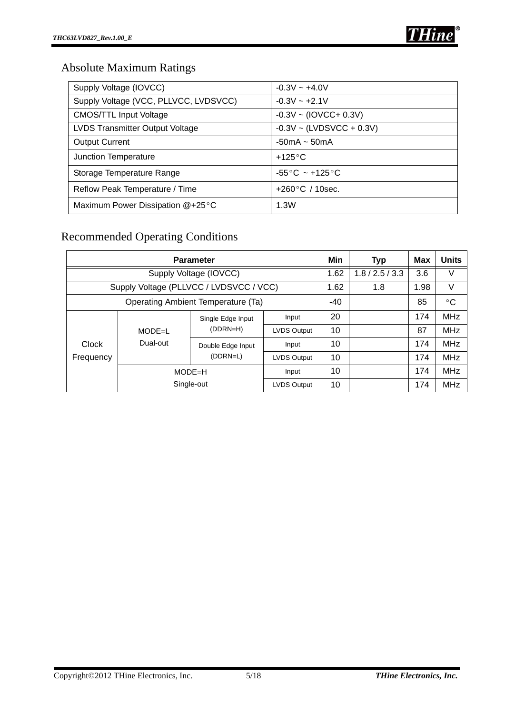# Absolute Maximum Ratings

| Supply Voltage (IOVCC)                 | $-0.3V - +4.0V$               |
|----------------------------------------|-------------------------------|
| Supply Voltage (VCC, PLLVCC, LVDSVCC)  | $-0.3V - +2.1V$               |
| <b>CMOS/TTL Input Voltage</b>          | $-0.3V \sim (IOVCC + 0.3V)$   |
| <b>LVDS Transmitter Output Voltage</b> | $-0.3V \sim (LVDSVCC + 0.3V)$ |
| <b>Output Current</b>                  | $-50mA \sim 50mA$             |
| Junction Temperature                   | $+125^{\circ}$ C              |
| Storage Temperature Range              | $-55^{\circ}$ C ~ +125 °C     |
| Reflow Peak Temperature / Time         | $+260\degree C$ / 10sec.      |
| Maximum Power Dissipation @+25°C       | 1.3W                          |

# Recommended Operating Conditions

|           | <b>Parameter</b>                   | Min                                     | <b>Typ</b>         | Max  | <b>Units</b> |      |            |
|-----------|------------------------------------|-----------------------------------------|--------------------|------|--------------|------|------------|
|           | Supply Voltage (IOVCC)             | 1.62                                    | 1.8 / 2.5 / 3.3    | 3.6  | V            |      |            |
|           |                                    | Supply Voltage (PLLVCC / LVDSVCC / VCC) |                    | 1.62 | 1.8          | 1.98 | V          |
|           | Operating Ambient Temperature (Ta) | -40                                     |                    | 85   | $\circ$ C    |      |            |
|           |                                    | Single Edge Input                       | Input              | 20   |              | 174  | <b>MHz</b> |
|           | $MODE = L$                         | (DDRN=H)                                | <b>LVDS Output</b> | 10   |              | 87   | <b>MHz</b> |
| Clock     | Dual-out                           | Double Edge Input                       | Input              | 10   |              | 174  | <b>MHz</b> |
| Frequency |                                    | (DDRN=L)                                | <b>LVDS Output</b> | 10   |              | 174  | <b>MHz</b> |
|           |                                    | $MODE=H$                                | Input              | 10   |              | 174  | <b>MHz</b> |
|           |                                    | Single-out                              | <b>LVDS Output</b> | 10   |              | 174  | <b>MHz</b> |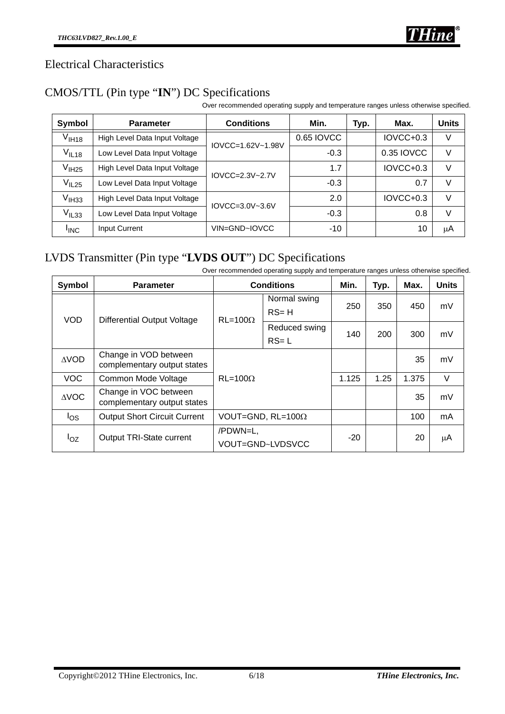

### Electrical Characteristics

## CMOS/TTL (Pin type "**IN**") DC Specifications

Over recommended operating supply and temperature ranges unless otherwise specified.

| Symbol            | <b>Parameter</b>              | <b>Conditions</b> | Min.       | Typ. | Max.        | <b>Units</b> |
|-------------------|-------------------------------|-------------------|------------|------|-------------|--------------|
| $\rm V_{IH18}$    | High Level Data Input Voltage | IOVCC=1.62V~1.98V | 0.65 IOVCC |      | $IOVCC+0.3$ | V            |
| V <sub>IL18</sub> | Low Level Data Input Voltage  |                   | $-0.3$     |      | 0.35 IOVCC  | V            |
| V <sub>IH25</sub> | High Level Data Input Voltage | $IOVCC=2.3V~2.7V$ | 1.7        |      | $IOVCC+0.3$ | $\vee$       |
| V <sub>IL25</sub> | Low Level Data Input Voltage  |                   | $-0.3$     |      | 0.7         | V            |
| $V_{IH33}$        | High Level Data Input Voltage | $IOVCC=3.0V-3.6V$ | 2.0        |      | $IOVCC+0.3$ | $\vee$       |
| $V_{IL33}$        | Low Level Data Input Voltage  |                   | $-0.3$     |      | 0.8         | $\vee$       |
| <b>I</b> INC      | Input Current                 | VIN=GND~IOVCC     | $-10$      |      | 10          | μA           |

# LVDS Transmitter (Pin type "**LVDS OUT**") DC Specifications

Over recommended operating supply and temperature ranges unless otherwise specified.

| Symbol          | <b>Parameter</b>                                     |                              | <b>Conditions</b>         | Min.  | Typ. | Max.  | <b>Units</b> |
|-----------------|------------------------------------------------------|------------------------------|---------------------------|-------|------|-------|--------------|
| <b>VOD</b>      |                                                      | $RL = 100\Omega$             | Normal swing<br>$RS = H$  | 250   | 350  | 450   | mV           |
|                 | <b>Differential Output Voltage</b>                   |                              | Reduced swing<br>$RS = L$ | 140   | 200  | 300   | mV           |
| $\triangle VOD$ | Change in VOD between<br>complementary output states | $RL = 100Q$                  |                           |       |      | 35    | mV           |
| VOC.            | Common Mode Voltage                                  |                              |                           | 1.125 | 1.25 | 1.375 | V            |
| <b>AVOC</b>     | Change in VOC between<br>complementary output states |                              |                           |       |      | 35    | mV           |
| $I_{OS}$        | <b>Output Short Circuit Current</b>                  | VOUT=GND, $RL=100\Omega$     |                           |       |      | 100   | mA           |
| $I_{OZ}$        | Output TRI-State current                             | /PDWN=L,<br>VOUT=GND~LVDSVCC |                           | $-20$ |      | 20    | μA           |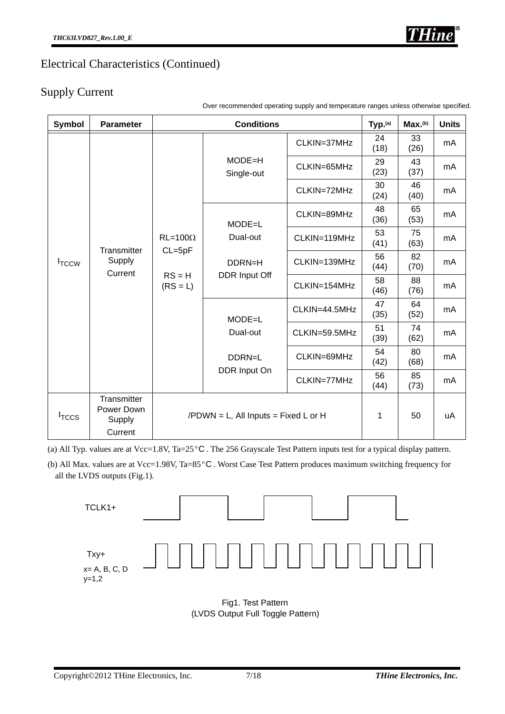

### Electrical Characteristics (Continued)

### Supply Current

| Symbol            | <b>Parameter</b>                               |                                | <b>Conditions</b>                       |               | Typ. <sup>(a)</sup>                  | Max.(b)    | <b>Units</b> |
|-------------------|------------------------------------------------|--------------------------------|-----------------------------------------|---------------|--------------------------------------|------------|--------------|
|                   |                                                |                                | $MODE = H$<br>Single-out                | CLKIN=37MHz   | 24<br>(18)                           | 33<br>(26) | mA           |
|                   |                                                |                                |                                         | CLKIN=65MHz   | 29<br>43<br>(23)<br>(37)<br>30<br>46 | mA         |              |
|                   |                                                |                                |                                         | CLKIN=72MHz   | (24)                                 | (40)       | mA           |
|                   |                                                |                                | $MODE = L$<br>Dual-out                  | CLKIN=89MHz   | 48<br>(36)                           | 65<br>(53) | mA           |
|                   | Transmitter                                    | $RL = 100\Omega$<br>$CL = 5pF$ |                                         | CLKIN=119MHz  | 53<br>(41)                           | 75<br>(63) | mA           |
| I <sub>TCCW</sub> | Supply<br>Current                              |                                | DDRN=H                                  | CLKIN=139MHz  | 56<br>(44)                           | 82<br>(70) | mA           |
|                   |                                                | $RS = H$<br>$(RS = L)$         | DDR Input Off                           | CLKIN=154MHz  | 58<br>(46)                           | 88<br>(76) | mA           |
|                   |                                                |                                | $MODE = L$                              | CLKIN=44.5MHz | 47<br>(35)                           | 64<br>(52) | mA           |
|                   |                                                |                                | Dual-out                                | CLKIN=59.5MHz | 51<br>(39)                           | 74<br>(62) | mA           |
|                   |                                                |                                | DDRN=L                                  | CLKIN=69MHz   | 54<br>(42)                           | 80<br>(68) | mA           |
|                   |                                                |                                | DDR Input On                            | CLKIN=77MHz   | 56<br>(44)                           | 85<br>(73) | mA           |
| I <sub>TCCS</sub> | Transmitter<br>Power Down<br>Supply<br>Current |                                | $/PDWN = L$ , All Inputs = Fixed L or H |               | 1                                    | 50         | uA           |

Over recommended operating supply and temperature ranges unless otherwise specified.

(a) All Typ. values are at Vcc=1.8V, Ta=25 $\degree$ C. The 256 Grayscale Test Pattern inputs test for a typical display pattern.

(b) All Max. values are at Vcc=1.98V, Ta=85 $\degree$ C. Worst Case Test Pattern produces maximum switching frequency for all the LVDS outputs (Fig.1).



Fig1. Test Pattern (LVDS Output Full Toggle Pattern)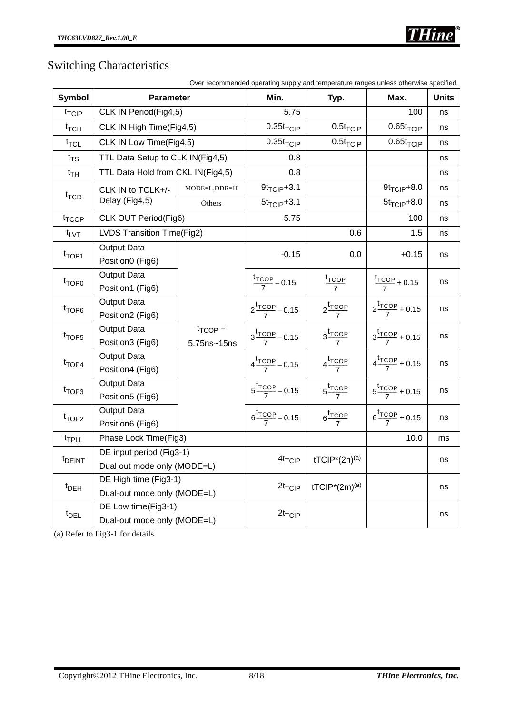# Switching Characteristics

| <b>Symbol</b>                                                                                 | Parameter                         |                     | Min.                                | Typ.                                   | Max.                                | <b>Units</b> |
|-----------------------------------------------------------------------------------------------|-----------------------------------|---------------------|-------------------------------------|----------------------------------------|-------------------------------------|--------------|
| $t_{\text{TCIP}}$                                                                             | CLK IN Period(Fig4,5)             |                     | 5.75                                |                                        | 100                                 | ns           |
| $t_{\text{TCH}}$                                                                              | CLK IN High Time(Fig4,5)          |                     | $0.35t$ <sub>TCIP</sub>             | $0.5t_{\text{TClP}}$                   | $0.65t$ <sub>TCIP</sub>             | ns           |
| $t_{\text{TCL}}$                                                                              | CLK IN Low Time(Fig4,5)           |                     | $0.35t$ <sub>TCIP</sub>             | $0.5t$ <sub>TCIP</sub>                 | $0.65t$ <sub>TCIP</sub>             | ns           |
| $t_{TS}$                                                                                      | TTL Data Setup to CLK IN(Fig4,5)  |                     | 0.8                                 |                                        |                                     | ns           |
| $t_{TH}$                                                                                      | TTL Data Hold from CKL IN(Fig4,5) |                     | 0.8                                 |                                        |                                     | ns           |
| $t_{\text{TCD}}$                                                                              | CLK IN to TCLK+/-                 | MODE=L,DDR=H        | $9t_{TCIP} + 3.1$                   |                                        | $9t_{TCIP} + 8.0$                   | ns           |
|                                                                                               | Delay (Fig4,5)                    | Others              | $5t$ <sub>TCIP</sub> $+3.1$         |                                        | $5t$ <sub>TCIP</sub> $+8.0$         | ns           |
| t <sub>TCOP</sub>                                                                             | CLK OUT Period(Fig6)              |                     | 5.75                                |                                        | 100                                 | ns           |
| $t_{\text{LVT}}$                                                                              | LVDS Transition Time(Fig2)        |                     |                                     | 0.6                                    | 1.5                                 | ns           |
| t <sub>TOP1</sub>                                                                             | Output Data                       |                     | $-0.15$                             | 0.0                                    | $+0.15$                             | ns           |
|                                                                                               | Position0 (Fig6)<br>Output Data   |                     |                                     |                                        |                                     |              |
| t <sub>TOP0</sub>                                                                             | Position1 (Fig6)                  |                     | $\frac{t_{\text{TCOP}}}{7}$ - 0.15  | $\frac{t_{\text{TOOP}}}{7}$            | $\frac{r_{\text{TOOP}}}{7}$ + 0.15  | ns           |
| t <sub>TOP6</sub>                                                                             | Output Data                       |                     |                                     |                                        |                                     |              |
|                                                                                               | Position2 (Fig6)                  |                     | $2\frac{t_{\text{TCOP}}}{7} - 0.15$ | $2\frac{t_{\text{TCOP}}}{7}$           | $2\frac{t_{\text{TCOP}}}{7} + 0.15$ | ns           |
| t <sub>TOP5</sub>                                                                             | <b>Output Data</b>                | $t_{\text{TCOP}} =$ | $3\frac{t_{\text{TCOP}}}{7} - 0.15$ | $3\frac{t_{\text{TOOP}}}{7}$           | $3\frac{t_{\text{TCOP}}}{7} + 0.15$ | ns           |
|                                                                                               | Position3 (Fig6)                  | 5.75ns~15ns         |                                     |                                        |                                     |              |
|                                                                                               | Output Data                       |                     | $4\frac{t_{\text{TCOP}}}{7} - 0.15$ | $4\frac{t_{\text{TOOP}}}{7}$           | $4\frac{t_{\text{TCOP}}}{7} + 0.15$ | ns           |
|                                                                                               | Position4 (Fig6)                  |                     |                                     |                                        |                                     |              |
| $t_{TOP3}$                                                                                    | Output Data<br>Position5 (Fig6)   |                     | $5\frac{t_{\text{TCOP}}}{7} - 0.15$ | $5\frac{t_{\text{TCOP}}}{7}$           | $5\frac{t_{\text{TCOP}}}{7} + 0.15$ | ns           |
|                                                                                               | Output Data                       |                     | $6\frac{t_{\text{TCOP}}}{7} - 0.15$ | $6\frac{t_{\text{TOOP}}}{7}$           | $6\frac{t_{\text{TCOP}}}{7} + 0.15$ | ns           |
|                                                                                               | Position6 (Fig6)                  |                     |                                     |                                        |                                     |              |
| t <sub>TPLL</sub>                                                                             | Phase Lock Time(Fig3)             |                     |                                     |                                        | 10.0                                | ms           |
|                                                                                               | DE input period (Fig3-1)          |                     | 4t <sub>TCIP</sub>                  | tTCIP <sup>*</sup> (2n) <sup>(a)</sup> |                                     | ns           |
|                                                                                               | Dual out mode only (MODE=L)       |                     |                                     |                                        |                                     |              |
|                                                                                               | DE High time (Fig3-1)             |                     | $2t_{TCIP}$                         | tTCIP <sup>*</sup> (2m) <sup>(a)</sup> |                                     | ns           |
|                                                                                               | Dual-out mode only (MODE=L)       |                     |                                     |                                        |                                     |              |
| $t_{\text{TOP4}}$<br>t <sub>TOP2</sub><br>t <sub>DEINT</sub><br>$t_{DEH}$<br>t <sub>DEL</sub> | DE Low time(Fig3-1)               |                     | $2t_{TCIP}$                         |                                        |                                     | ns           |
|                                                                                               | Dual-out mode only (MODE=L)       |                     |                                     |                                        |                                     |              |

(a) Refer to Fig3-1 for details.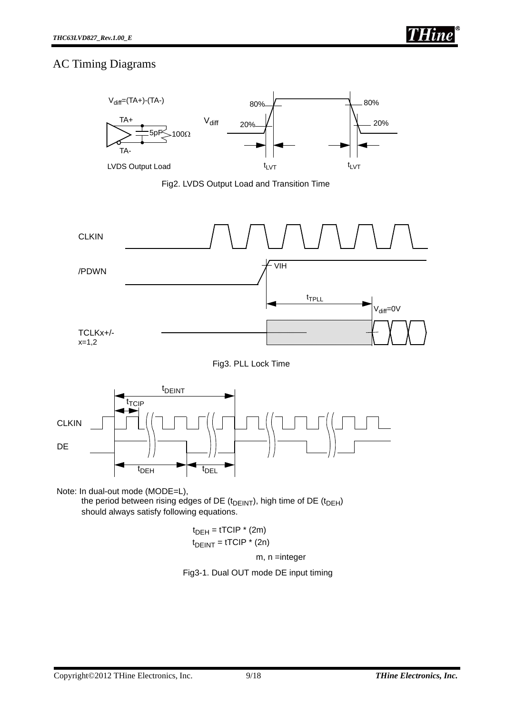### AC Timing Diagrams



Fig2. LVDS Output Load and Transition Time





Note: In dual-out mode (MODE=L),

the period between rising edges of DE ( $t<sub>DEINT</sub>$ ), high time of DE ( $t<sub>DEH</sub>$ ) should always satisfy following equations.

$$
t_{DEH} = tTCIP * (2m)
$$

$$
t_{DEINT} = tTCIP * (2n)
$$

m, n =integer

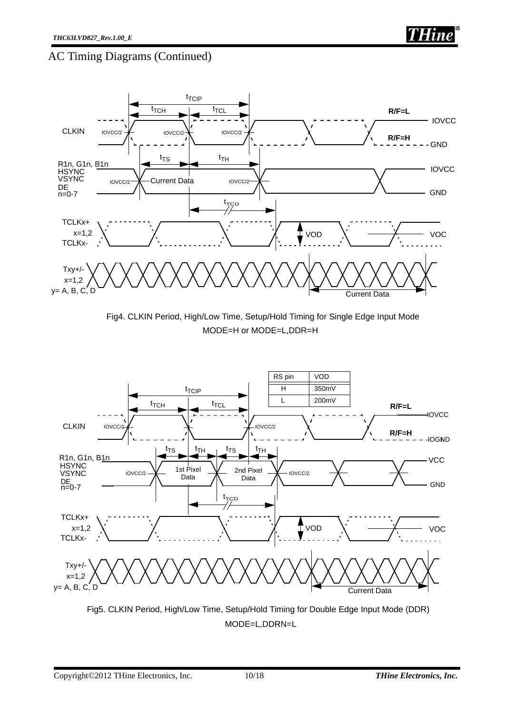### AC Timing Diagrams (Continued)







Fig5. CLKIN Period, High/Low Time, Setup/Hold Timing for Double Edge Input Mode (DDR) MODE=L,DDRN=L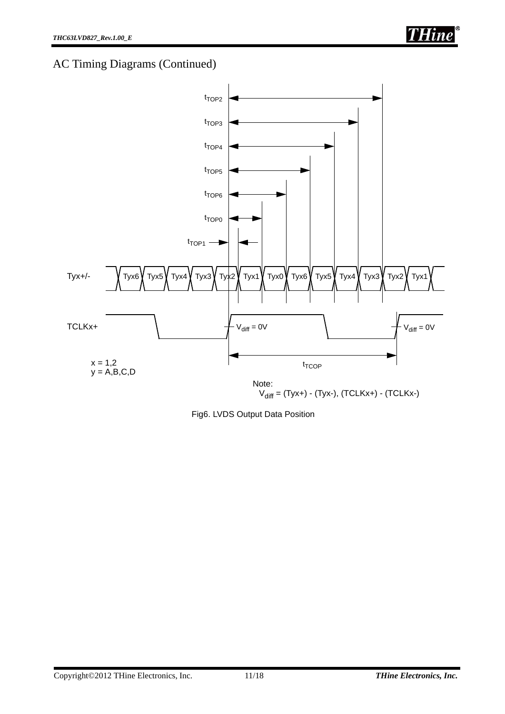# AC Timing Diagrams (Continued)



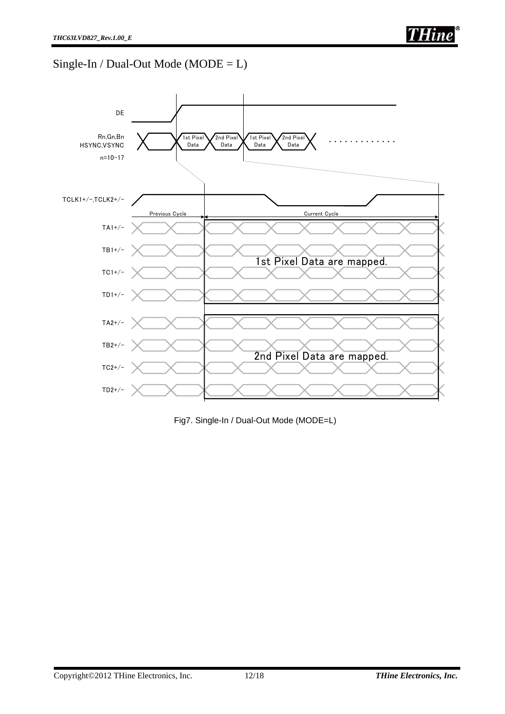# $Single-In / Dual-Out Mode (MODE = L)$



Fig7. Single-In / Dual-Out Mode (MODE=L)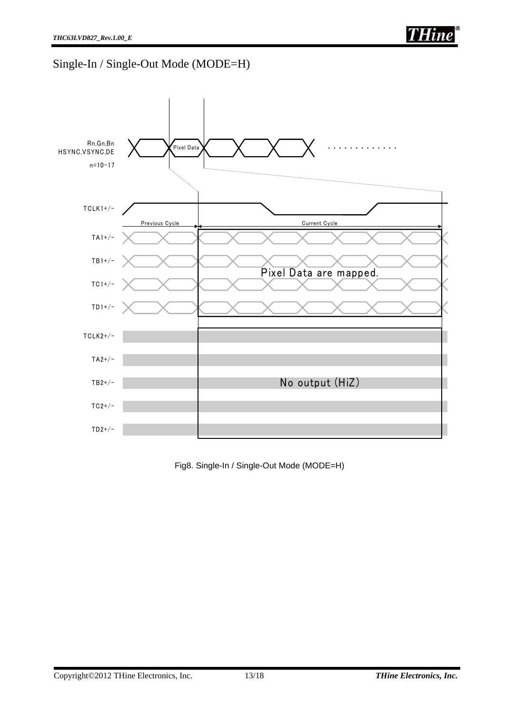# Single-In / Single-Out Mode (MODE=H)



Fig8. Single-In / Single-Out Mode (MODE=H)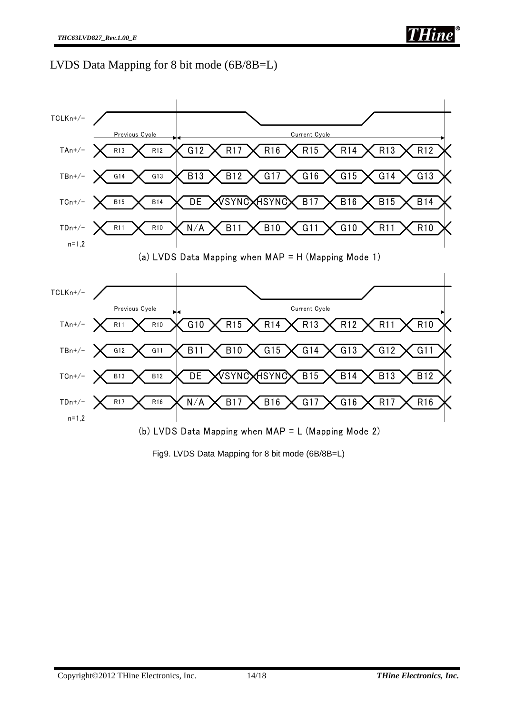LVDS Data Mapping for 8 bit mode (6B/8B=L)



Fig9. LVDS Data Mapping for 8 bit mode (6B/8B=L)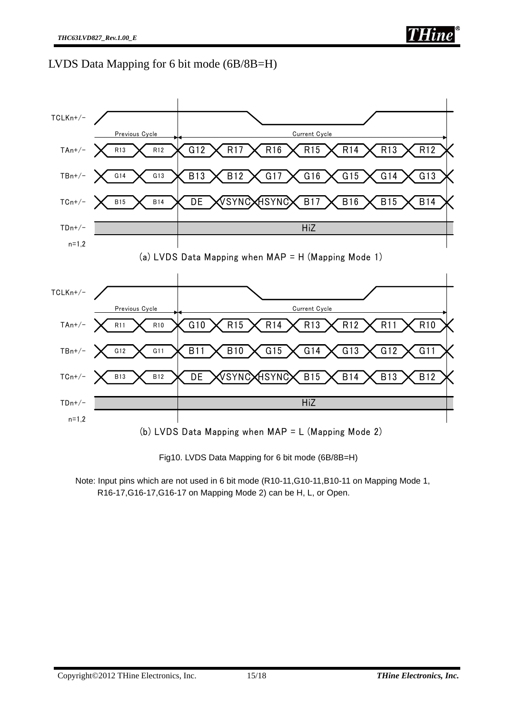LVDS Data Mapping for 6 bit mode (6B/8B=H)



Fig10. LVDS Data Mapping for 6 bit mode (6B/8B=H)

Note: Input pins which are not used in 6 bit mode (R10-11,G10-11,B10-11 on Mapping Mode 1, R16-17,G16-17,G16-17 on Mapping Mode 2) can be H, L, or Open.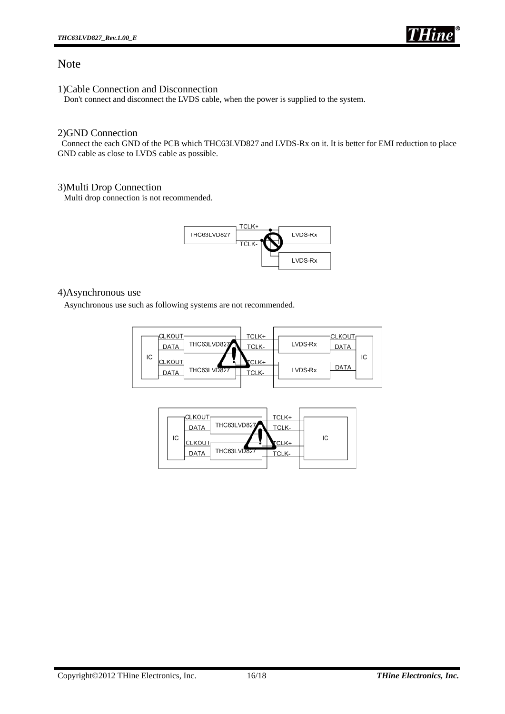

#### Note

1)Cable Connection and Disconnection

Don't connect and disconnect the LVDS cable, when the power is supplied to the system.

#### 2)GND Connection

 Connect the each GND of the PCB which THC63LVD827 and LVDS-Rx on it. It is better for EMI reduction to place GND cable as close to LVDS cable as possible.

#### 3)Multi Drop Connection

Multi drop connection is not recommended.



#### 4)Asynchronous use

Asynchronous use such as following systems are not recommended.



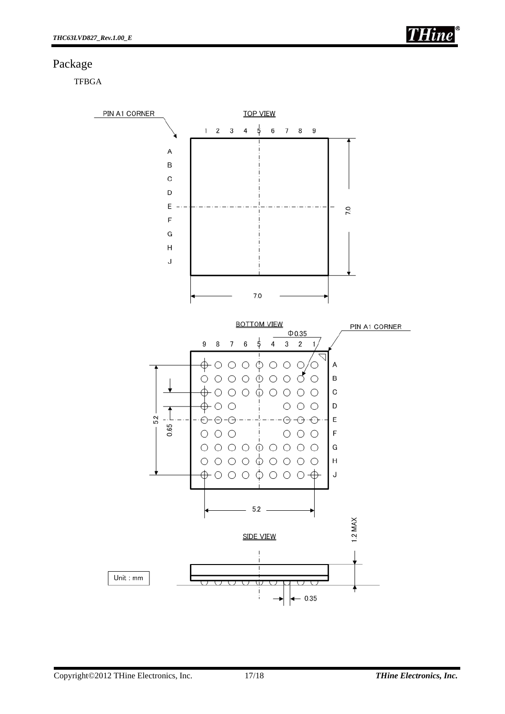### Package

**TFBGA**